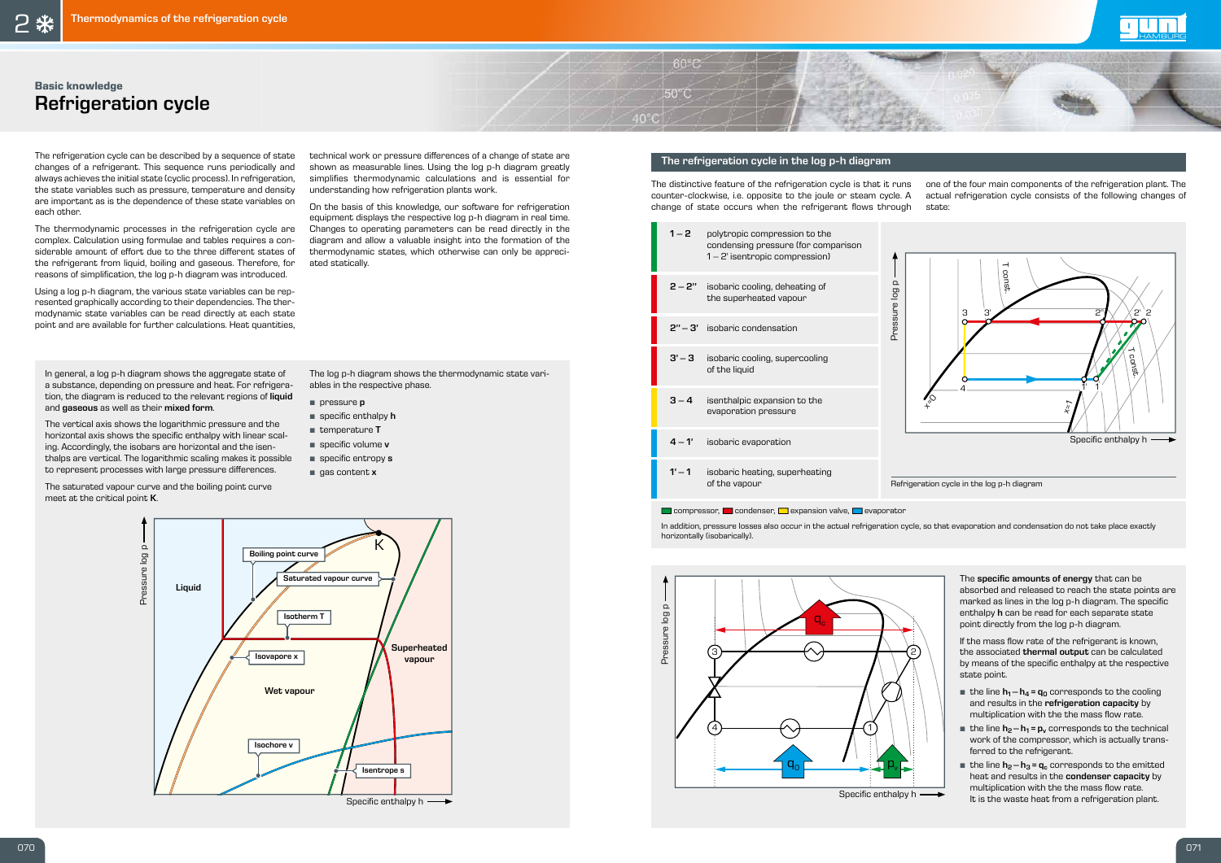The refrigeration cycle can be described by a sequence of state changes of a refrigerant. This sequence runs periodically and always achieves the initial state (cyclic process). In refrigeration, the state variables such as pressure, temperature and density are important as is the dependence of these state variables on each other.

The thermodynamic processes in the refrigeration cycle are complex. Calculation using formulae and tables requires a considerable amount of effort due to the three different states of the refrigerant from liquid, boiling and gaseous. Therefore, for reasons of simplification, the log p-h diagram was introduced.

Using a log p-h diagram, the various state variables can be represented graphically according to their dependencies. The thermodynamic state variables can be read directly at each state point and are available for further calculations. Heat quantities,

technical work or pressure differences of a change of state are shown as measurable lines. Using the log p-h diagram greatly simplifies thermodynamic calculations and is essential for understanding how refrigeration plants work.

- **•** *pressure p*
- **specific enthalpy h**
- temperature <sup>T</sup>
- **specific volume v**
- **•** specific entropy **s**
- gas content <sup>x</sup>

On the basis of this knowledge, our software for refrigeration equipment displays the respective log p-h diagram in real time. Changes to operating parameters can be read directly in the diagram and allow a valuable insight into the formation of the thermodynamic states, which otherwise can only be appreciated statically.

> The specific amounts of energy that can be absorbed and released to reach the state points are marked as lines in the log p-h diagram. The specific enthalpy h can be read for each separate state point directly from the log p-h diagram.

If the mass flow rate of the refrigerant is known, the associated thermal output can be calculated by means of the specific enthalpy at the respective state point.

In general, a log p-h diagram shows the aggregate state of a substance, depending on pressure and heat. For refrigeration, the diagram is reduced to the relevant regions of liquid and gaseous as well as their mixed form.

- **•** the line  $h_1 h_4 = q_0$  corresponds to the cooling and results in the refrigeration capacity by multiplication with the the mass flow rate.
- **the line**  $h_2 h_1 = p_v$  **corresponds to the technical work of the compressor, which is actually trans**ferred to the refrigerant.
- **•** the line  $h_2 h_3 = q_c$  corresponds to the emitted heat and results in the condenser capacity by multiplication with the the mass flow rate. It is the waste heat from a refrigeration plant.

The distinctive feature of the refrigeration cycle is that it runs counter-clockwise, i.e. opposite to the joule or steam cycle. A change of state occurs when the refrigerant flows through

The vertical axis shows the logarithmic pressure and the horizontal axis shows the specific enthalpy with linear scaling. Accordingly, the isobars are horizontal and the isenthalps are vertical. The logarithmic scaling makes it possible to represent processes with large pressure differences.

The saturated vapour curve and the boiling point curve meet at the critical point K.

The log p-h diagram shows the thermodynamic state variables in the respective phase.

K Liquid Wet vapour **Superheated** vapour Boiling point curve Isotherm T Saturated vapour curve Isovapore x Isentrope s Isochore v

Specific enthalpy  $h \longrightarrow$ 

Pressure log p

Pressure log p

#### The refrigeration cycle in the log p-h diagram

 $60^{\circ}$ C

 $50^{\circ}$ C

 $40^{\circ}$ C

|          | $1 - 2$ polytropic compression to the<br>condensing pressure (for comparison<br>$1 - 2$ ' isentropic compression) |                |  |
|----------|-------------------------------------------------------------------------------------------------------------------|----------------|--|
|          | $2 - 2"$ isobaric cooling, deheating of<br>the superheated vapour                                                 | Pressure log p |  |
|          | $2" - 3'$ isobaric condensation                                                                                   |                |  |
| $3' - 3$ | isobaric cooling, supercooling<br>of the liquid                                                                   |                |  |
| $3 - 4$  | isenthalpic expansion to the<br>evaporation pressure                                                              |                |  |
| $4 - 1'$ | isobaric evaporation                                                                                              |                |  |
| $1' - 1$ | isobaric heating, superheating<br>of the vapour                                                                   | Refrigera      |  |

#### $\Box$  compressor,  $\Box$  condenser,  $\Box$  expansion valve,  $\Box$  evaporator



one of the four main components of the refrigeration plant. The actual refrigeration cycle consists of the following changes of state:









In addition, pressure losses also occur in the actual refrigeration cycle, so that evaporation and condensation do not take place exactly horizontally (isobarically).

## **Basic knowledge** Refrigeration cycle